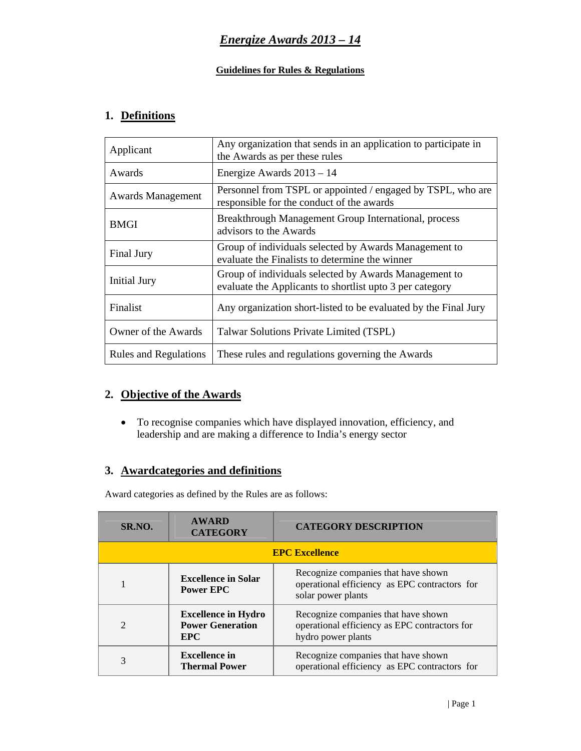#### **Guidelines for Rules & Regulations**

# **1. Definitions**

| Applicant                    | Any organization that sends in an application to participate in<br>the Awards as per these rules                  |  |
|------------------------------|-------------------------------------------------------------------------------------------------------------------|--|
| Awards                       | Energize Awards $2013 - 14$                                                                                       |  |
| <b>Awards Management</b>     | Personnel from TSPL or appointed / engaged by TSPL, who are<br>responsible for the conduct of the awards          |  |
| <b>BMGI</b>                  | Breakthrough Management Group International, process<br>advisors to the Awards                                    |  |
| Final Jury                   | Group of individuals selected by Awards Management to<br>evaluate the Finalists to determine the winner           |  |
| <b>Initial Jury</b>          | Group of individuals selected by Awards Management to<br>evaluate the Applicants to shortlist upto 3 per category |  |
| Finalist                     | Any organization short-listed to be evaluated by the Final Jury                                                   |  |
| Owner of the Awards          | Talwar Solutions Private Limited (TSPL)                                                                           |  |
| <b>Rules and Regulations</b> | These rules and regulations governing the Awards                                                                  |  |

# **2. Objective of the Awards**

• To recognise companies which have displayed innovation, efficiency, and leadership and are making a difference to India's energy sector

# **3. Awardcategories and definitions**

Award categories as defined by the Rules are as follows:

| SR.NO.                      | <b>AWARD</b><br><b>CATEGORY</b>                                     | <b>CATEGORY DESCRIPTION</b>                                                                                |  |  |
|-----------------------------|---------------------------------------------------------------------|------------------------------------------------------------------------------------------------------------|--|--|
| <b>EPC Excellence</b>       |                                                                     |                                                                                                            |  |  |
|                             | <b>Excellence in Solar</b><br><b>Power EPC</b>                      | Recognize companies that have shown<br>operational efficiency as EPC contractors for<br>solar power plants |  |  |
| $\mathcal{D}_{\mathcal{A}}$ | <b>Excellence in Hydro</b><br><b>Power Generation</b><br><b>EPC</b> | Recognize companies that have shown<br>operational efficiency as EPC contractors for<br>hydro power plants |  |  |
| 3                           | <b>Excellence in</b><br><b>Thermal Power</b>                        | Recognize companies that have shown<br>operational efficiency as EPC contractors for                       |  |  |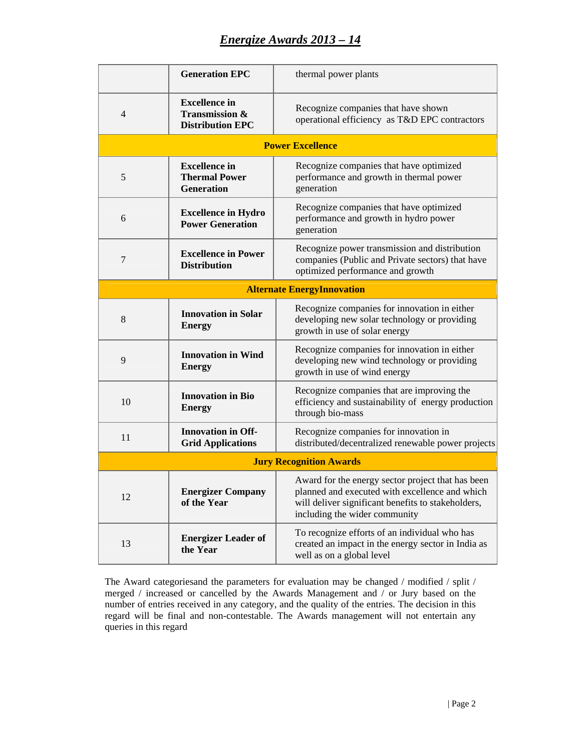# *Energize Awards 2013 – 14*

|                                   | <b>Generation EPC</b>                                                        | thermal power plants                                                                                                                                                                       |  |  |
|-----------------------------------|------------------------------------------------------------------------------|--------------------------------------------------------------------------------------------------------------------------------------------------------------------------------------------|--|--|
| $\overline{4}$                    | <b>Excellence</b> in<br><b>Transmission &amp;</b><br><b>Distribution EPC</b> | Recognize companies that have shown<br>operational efficiency as T&D EPC contractors                                                                                                       |  |  |
|                                   |                                                                              | <b>Power Excellence</b>                                                                                                                                                                    |  |  |
| 5                                 | <b>Excellence</b> in<br><b>Thermal Power</b><br><b>Generation</b>            | Recognize companies that have optimized<br>performance and growth in thermal power<br>generation                                                                                           |  |  |
| 6                                 | <b>Excellence in Hydro</b><br><b>Power Generation</b>                        | Recognize companies that have optimized<br>performance and growth in hydro power<br>generation                                                                                             |  |  |
| $\overline{7}$                    | <b>Excellence in Power</b><br><b>Distribution</b>                            | Recognize power transmission and distribution<br>companies (Public and Private sectors) that have<br>optimized performance and growth                                                      |  |  |
| <b>Alternate EnergyInnovation</b> |                                                                              |                                                                                                                                                                                            |  |  |
| 8                                 | <b>Innovation in Solar</b><br><b>Energy</b>                                  | Recognize companies for innovation in either<br>developing new solar technology or providing<br>growth in use of solar energy                                                              |  |  |
| 9                                 | <b>Innovation in Wind</b><br><b>Energy</b>                                   | Recognize companies for innovation in either<br>developing new wind technology or providing<br>growth in use of wind energy                                                                |  |  |
| 10                                | <b>Innovation</b> in Bio<br><b>Energy</b>                                    | Recognize companies that are improving the<br>efficiency and sustainability of energy production<br>through bio-mass                                                                       |  |  |
| 11                                | <b>Innovation in Off-</b><br><b>Grid Applications</b>                        | Recognize companies for innovation in<br>distributed/decentralized renewable power projects                                                                                                |  |  |
| <b>Jury Recognition Awards</b>    |                                                                              |                                                                                                                                                                                            |  |  |
| 12                                | <b>Energizer Company</b><br>of the Year                                      | Award for the energy sector project that has been<br>planned and executed with excellence and which<br>will deliver significant benefits to stakeholders,<br>including the wider community |  |  |
| 13                                | <b>Energizer Leader of</b><br>the Year                                       | To recognize efforts of an individual who has<br>created an impact in the energy sector in India as<br>well as on a global level                                                           |  |  |

The Award categoriesand the parameters for evaluation may be changed / modified / split / merged / increased or cancelled by the Awards Management and / or Jury based on the number of entries received in any category, and the quality of the entries. The decision in this regard will be final and non-contestable. The Awards management will not entertain any queries in this regard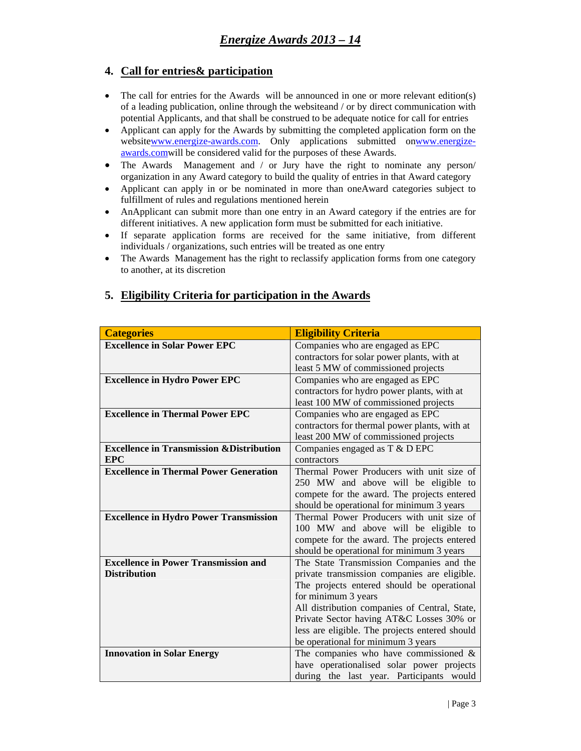### **4. Call for entries& participation**

- The call for entries for the Awards will be announced in one or more relevant edition(s) of a leading publication, online through the websiteand / or by direct communication with potential Applicants, and that shall be construed to be adequate notice for call for entries
- Applicant can apply for the Awards by submitting the completed application form on the websitewww.energize-awards.com. Only applications submitted onwww.energizeawards.comwill be considered valid for the purposes of these Awards.
- The Awards Management and / or Jury have the right to nominate any person/ organization in any Award category to build the quality of entries in that Award category
- Applicant can apply in or be nominated in more than oneAward categories subject to fulfillment of rules and regulations mentioned herein
- AnApplicant can submit more than one entry in an Award category if the entries are for different initiatives. A new application form must be submitted for each initiative.
- If separate application forms are received for the same initiative, from different individuals / organizations, such entries will be treated as one entry
- The Awards Management has the right to reclassify application forms from one category to another, at its discretion

| <b>Categories</b>                                    | <b>Eligibility Criteria</b>                    |
|------------------------------------------------------|------------------------------------------------|
| <b>Excellence in Solar Power EPC</b>                 | Companies who are engaged as EPC               |
|                                                      | contractors for solar power plants, with at    |
|                                                      | least 5 MW of commissioned projects            |
| <b>Excellence in Hydro Power EPC</b>                 | Companies who are engaged as EPC               |
|                                                      | contractors for hydro power plants, with at    |
|                                                      | least 100 MW of commissioned projects          |
| <b>Excellence in Thermal Power EPC</b>               | Companies who are engaged as EPC               |
|                                                      | contractors for thermal power plants, with at  |
|                                                      | least 200 MW of commissioned projects          |
| <b>Excellence in Transmission &amp; Distribution</b> | Companies engaged as T & D EPC                 |
| <b>EPC</b>                                           | contractors                                    |
| <b>Excellence in Thermal Power Generation</b>        | Thermal Power Producers with unit size of      |
|                                                      | 250 MW and above will be eligible to           |
|                                                      | compete for the award. The projects entered    |
|                                                      | should be operational for minimum 3 years      |
| <b>Excellence in Hydro Power Transmission</b>        | Thermal Power Producers with unit size of      |
|                                                      | 100 MW and above will be eligible to           |
|                                                      | compete for the award. The projects entered    |
|                                                      | should be operational for minimum 3 years      |
| <b>Excellence in Power Transmission and</b>          | The State Transmission Companies and the       |
| <b>Distribution</b>                                  | private transmission companies are eligible.   |
|                                                      | The projects entered should be operational     |
|                                                      | for minimum 3 years                            |
|                                                      | All distribution companies of Central, State,  |
|                                                      | Private Sector having AT&C Losses 30% or       |
|                                                      | less are eligible. The projects entered should |
|                                                      | be operational for minimum 3 years             |
| <b>Innovation in Solar Energy</b>                    | The companies who have commissioned $\&$       |
|                                                      | have operationalised solar power projects      |
|                                                      | during the last year. Participants would       |

### **5. Eligibility Criteria for participation in the Awards**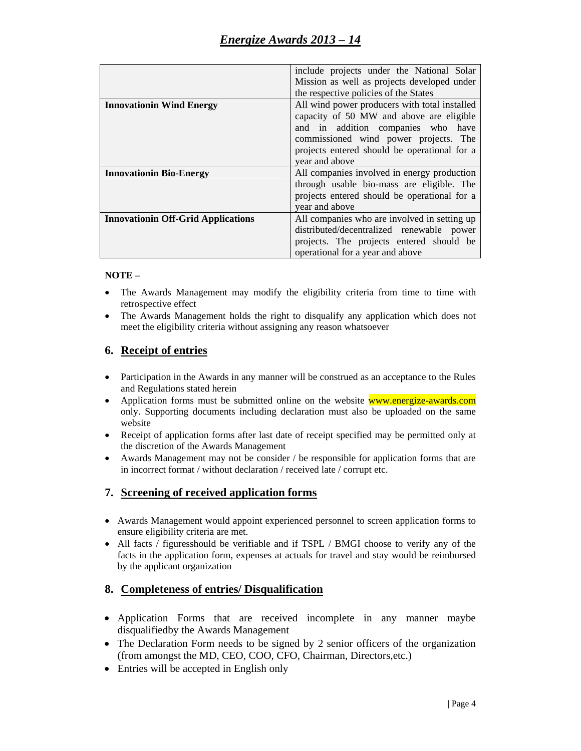|                                           | include projects under the National Solar     |
|-------------------------------------------|-----------------------------------------------|
|                                           | Mission as well as projects developed under   |
|                                           | the respective policies of the States         |
| <b>Innovationin Wind Energy</b>           | All wind power producers with total installed |
|                                           | capacity of 50 MW and above are eligible      |
|                                           | and in addition companies who have            |
|                                           | commissioned wind power projects. The         |
|                                           | projects entered should be operational for a  |
|                                           | year and above                                |
| <b>Innovationin Bio-Energy</b>            | All companies involved in energy production   |
|                                           | through usable bio-mass are eligible. The     |
|                                           | projects entered should be operational for a  |
|                                           | year and above                                |
| <b>Innovationin Off-Grid Applications</b> | All companies who are involved in setting up  |
|                                           | distributed/decentralized renewable power     |
|                                           | projects. The projects entered should be      |
|                                           | operational for a year and above              |

#### **NOTE –**

- The Awards Management may modify the eligibility criteria from time to time with retrospective effect
- The Awards Management holds the right to disqualify any application which does not meet the eligibility criteria without assigning any reason whatsoever

#### **6. Receipt of entries**

- Participation in the Awards in any manner will be construed as an acceptance to the Rules and Regulations stated herein
- Application forms must be submitted online on the website **www.energize-awards.com** only. Supporting documents including declaration must also be uploaded on the same website
- Receipt of application forms after last date of receipt specified may be permitted only at the discretion of the Awards Management
- Awards Management may not be consider / be responsible for application forms that are in incorrect format / without declaration / received late / corrupt etc.

#### **7. Screening of received application forms**

- Awards Management would appoint experienced personnel to screen application forms to ensure eligibility criteria are met.
- All facts / figuresshould be verifiable and if TSPL / BMGI choose to verify any of the facts in the application form, expenses at actuals for travel and stay would be reimbursed by the applicant organization

#### **8. Completeness of entries/ Disqualification**

- Application Forms that are received incomplete in any manner maybe disqualifiedby the Awards Management
- The Declaration Form needs to be signed by 2 senior officers of the organization (from amongst the MD, CEO, COO, CFO, Chairman, Directors,etc.)
- Entries will be accepted in English only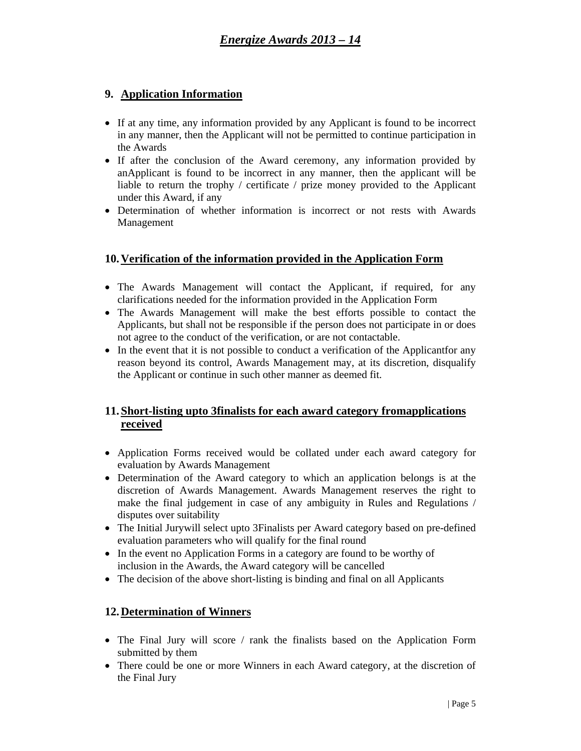### **9. Application Information**

- If at any time, any information provided by any Applicant is found to be incorrect in any manner, then the Applicant will not be permitted to continue participation in the Awards
- If after the conclusion of the Award ceremony, any information provided by anApplicant is found to be incorrect in any manner, then the applicant will be liable to return the trophy / certificate / prize money provided to the Applicant under this Award, if any
- Determination of whether information is incorrect or not rests with Awards Management

### **10.Verification of the information provided in the Application Form**

- The Awards Management will contact the Applicant, if required, for any clarifications needed for the information provided in the Application Form
- The Awards Management will make the best efforts possible to contact the Applicants, but shall not be responsible if the person does not participate in or does not agree to the conduct of the verification, or are not contactable.
- In the event that it is not possible to conduct a verification of the Applicantfor any reason beyond its control, Awards Management may, at its discretion, disqualify the Applicant or continue in such other manner as deemed fit.

# **11.Short-listing upto 3finalists for each award category fromapplications received**

- Application Forms received would be collated under each award category for evaluation by Awards Management
- Determination of the Award category to which an application belongs is at the discretion of Awards Management. Awards Management reserves the right to make the final judgement in case of any ambiguity in Rules and Regulations / disputes over suitability
- The Initial Jurywill select upto 3Finalists per Award category based on pre-defined evaluation parameters who will qualify for the final round
- In the event no Application Forms in a category are found to be worthy of inclusion in the Awards, the Award category will be cancelled
- The decision of the above short-listing is binding and final on all Applicants

# **12.Determination of Winners**

- The Final Jury will score / rank the finalists based on the Application Form submitted by them
- There could be one or more Winners in each Award category, at the discretion of the Final Jury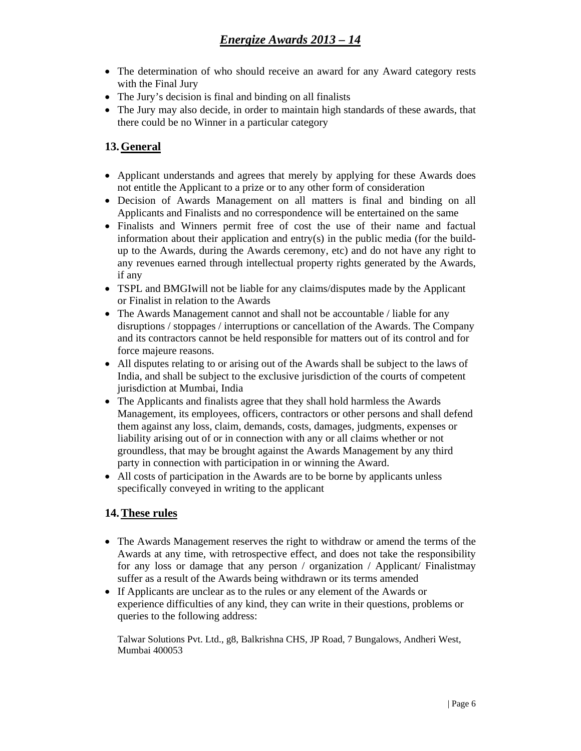- The determination of who should receive an award for any Award category rests with the Final Jury
- The Jury's decision is final and binding on all finalists
- The Jury may also decide, in order to maintain high standards of these awards, that there could be no Winner in a particular category

# **13.General**

- Applicant understands and agrees that merely by applying for these Awards does not entitle the Applicant to a prize or to any other form of consideration
- Decision of Awards Management on all matters is final and binding on all Applicants and Finalists and no correspondence will be entertained on the same
- Finalists and Winners permit free of cost the use of their name and factual information about their application and entry(s) in the public media (for the buildup to the Awards, during the Awards ceremony, etc) and do not have any right to any revenues earned through intellectual property rights generated by the Awards, if any
- TSPL and BMGIwill not be liable for any claims/disputes made by the Applicant or Finalist in relation to the Awards
- The Awards Management cannot and shall not be accountable / liable for any disruptions / stoppages / interruptions or cancellation of the Awards. The Company and its contractors cannot be held responsible for matters out of its control and for force majeure reasons.
- All disputes relating to or arising out of the Awards shall be subject to the laws of India, and shall be subject to the exclusive jurisdiction of the courts of competent jurisdiction at Mumbai, India
- The Applicants and finalists agree that they shall hold harmless the Awards Management, its employees, officers, contractors or other persons and shall defend them against any loss, claim, demands, costs, damages, judgments, expenses or liability arising out of or in connection with any or all claims whether or not groundless, that may be brought against the Awards Management by any third party in connection with participation in or winning the Award.
- All costs of participation in the Awards are to be borne by applicants unless specifically conveyed in writing to the applicant

# **14.These rules**

- The Awards Management reserves the right to withdraw or amend the terms of the Awards at any time, with retrospective effect, and does not take the responsibility for any loss or damage that any person / organization / Applicant/ Finalistmay suffer as a result of the Awards being withdrawn or its terms amended
- If Applicants are unclear as to the rules or any element of the Awards or experience difficulties of any kind, they can write in their questions, problems or queries to the following address:

Talwar Solutions Pvt. Ltd., g8, Balkrishna CHS, JP Road, 7 Bungalows, Andheri West, Mumbai 400053